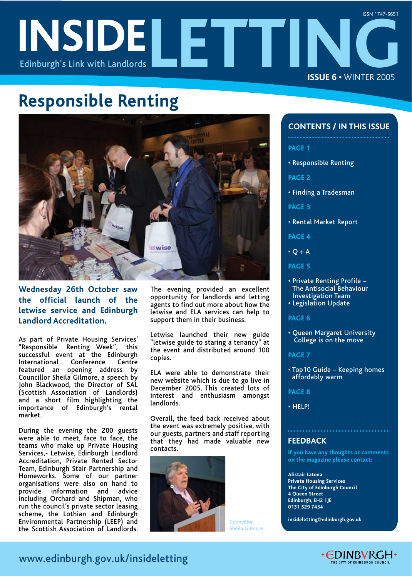# **INSIDELETTING** Edinburgh's Link with Landlords **ISSUE 6 •** WINTER 2005 ISSN 1747-5651

# **Responsible Renting**



# **Wednesday 26th October saw the official launch of the letwise service and Edinburgh Landlord Accreditation.**

As part of Private Housing Services' "Responsible Renting Week", this successful event at the Edinburgh<br>International Conference Centre **Conference** featured an opening address by Councillor Sheila Gilmore, a speech by John Blackwood, the Director of SAL (Scottish Association of Landlords) and a short film highlighting the importance of Edinburgh's rental market.

During the evening the 200 guests were able to meet, face to face, the teams who make up Private Housing Services,- Letwise, Edinburgh Landlord Accreditation, Private Rented Sector Team, Edinburgh Stair Partnership and Homeworks. Some of our partner organisations were also on hand to provide information and advice including Orchard and Shipman, who run the council's private sector leasing scheme, the Lothian and Edinburgh Environmental Partnership (LEEP) and the Scottish Association of Landlords.

The evening provided an excellent opportunity for landlords and letting agents to find out more about how the letwise and ELA services can help to support them in their business.

Letwise launched their new guide "letwise guide to staring a tenancy" at the event and distributed around 100 copies.

ELA were able to demonstrate their new website which is due to go live in December 2005. This created lots of interest and enthusiasm amongst landlords.

Overall, the feed back received about the event was extremely positive, with our guests, partners and staff reporting that they had made valuable new contacts.



**Councillor Sheila Gilmore**

# **CONTENTS / IN THIS ISSUE**

- **PAGE 1**
- Responsible Renting

**PAGE 2**

- Finding a Tradesman
- **PAGE 3**
- Rental Market Report

**PAGE 4**

- $\cdot$  Q + A
- **PAGE 5**
- Private Renting Profile The Antisocial Behaviour Investigation Team
- Legislation Update

### **PAGE 6**

• Queen Margaret University College is on the move

### **PAGE 7**

• Top10 Guide – Keeping homes affordably warm

**PAGE 8**

• HELP!

# **FEEDBACK**

**If you have any thoughts or comments on the magazine please contact:** 

**Alistair Latona Private Housing Services The City of Edinburgh Council 4 Queen Street Edinburgh, EH2 1JE 0131 529 7454** 

**insideletting@edinburgh.gov.uk** 



# www.edinburgh.gov.uk/insideletting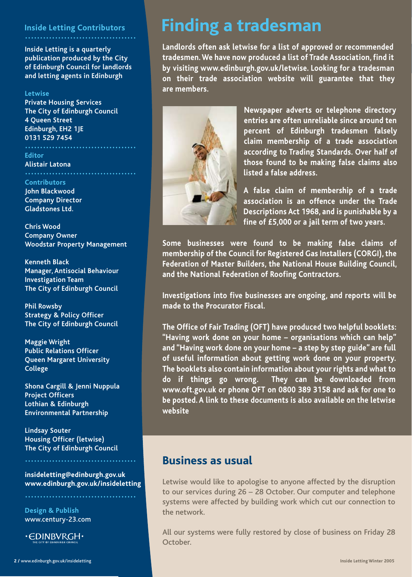# **Inside Letting Contributors .....................................**

**Inside Letting is a quarterly publication produced by the City of Edinburgh Council for landlords and letting agents in Edinburgh**

### **Letwise**

**Private Housing Services The City of Edinburgh Council 4 Queen Street Edinburgh, EH2 1JE 0131 529 7454**

**Editor**

**.....................................**

**Alistair Latona**

**Contributors John Blackwood Company Director Gladstones Ltd.**

**Chris Wood Company Owner Woodstar Property Management**

**Kenneth Black Manager, Antisocial Behaviour Investigation Team The City of Edinburgh Council**

**Phil Rowsby Strategy & Policy Officer The City of Edinburgh Council**

**Maggie Wright Public Relations Officer Queen Margaret University College**

**Shona Cargill & Jenni Nuppula Project Officers Lothian & Edinburgh Environmental Partnership**

**Lindsay Souter Housing Officer (letwise) The City of Edinburgh Council**

**.....................................**

**.....................................**

**insideletting@edinburgh.gov.uk www.edinburgh.gov.uk/insideletting**

**Design & Publish** www.century-23.com



# **Finding a tradesman**

**Landlords often ask letwise for a list of approved or recommended tradesmen. We have now produced a list of Trade Association, find it by visiting www.edinburgh.gov.uk/letwise. Looking for a tradesman on their trade association website will guarantee that they are members.**



**Newspaper adverts or telephone directory entries are often unreliable since around ten percent of Edinburgh tradesmen falsely claim membership of a trade association according to Trading Standards. Over half of those found to be making false claims also listed a false address.**

**A false claim of membership of a trade association is an offence under the Trade Descriptions Act 1968, and is punishable by a fine of £5,000 or a jail term of two years.**

**Some businesses were found to be making false claims of membership of the Council for Registered Gas Installers (CORGI), the Federation of Master Builders, the National House Building Council, and the National Federation of Roofing Contractors.**

**Investigations into five businesses are ongoing, and reports will be made to the Procurator Fiscal.**

**The Office of Fair Trading (OFT) have produced two helpful booklets: "Having work done on your home – organisations which can help" and "Having work done on your home – a step by step guide" are full of useful information about getting work done on your property. The booklets also contain information about your rights and what to do if things go wrong. They can be downloaded from www.oft.gov.uk or phone OFT on 0800 389 3158 and ask for one to be posted. A link to these documents is also available on the letwise website**

# **Business as usual**

Letwise would like to apologise to anyone affected by the disruption to our services during 26 – 28 October. Our computer and telephone systems were affected by building work which cut our connection to the network.

All our systems were fully restored by close of business on Friday 28 October.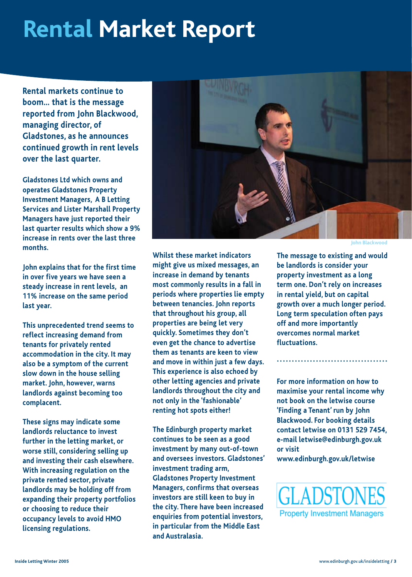# **Rental Market Report**

**Rental markets continue to boom… that is the message reported from John Blackwood, managing director, of Gladstones, as he announces continued growth in rent levels over the last quarter.**

**Gladstones Ltd which owns and operates Gladstones Property Investment Managers, A B Letting Services and Lister Marshall Property Managers have just reported their last quarter results which show a 9% increase in rents over the last three months.**

**John explains that for the first time in over five years we have seen a steady increase in rent levels, an 11% increase on the same period last year.**

**This unprecedented trend seems to reflect increasing demand from tenants for privately rented accommodation in the city. It may also be a symptom of the current slow down in the house selling market. John, however, warns landlords against becoming too complacent.**

**These signs may indicate some landlords reluctance to invest further in the letting market, or worse still, considering selling up and investing their cash elsewhere. With increasing regulation on the private rented sector, private landlords may be holding off from expanding their property portfolios or choosing to reduce their occupancy levels to avoid HMO licensing regulations.**



**John Blackwood**

**Whilst these market indicators might give us mixed messages, an increase in demand by tenants most commonly results in a fall in periods where properties lie empty between tenancies. John reports that throughout his group, all properties are being let very quickly. Sometimes they don't even get the chance to advertise them as tenants are keen to view and move in within just a few days. This experience is also echoed by other letting agencies and private landlords throughout the city and not only in the 'fashionable' renting hot spots either!**

**The Edinburgh property market continues to be seen as a good investment by many out-of-town and oversees investors. Gladstones' investment trading arm, Gladstones Property Investment Managers, confirms that overseas investors are still keen to buy in the city. There have been increased enquiries from potential investors, in particular from the Middle East and Australasia.** 

**The message to existing and would be landlords is consider your property investment as a long term one. Don't rely on increases in rental yield, but on capital growth over a much longer period. Long term speculation often pays off and more importantly overcomes normal market fluctuations.** 

**For more information on how to maximise your rental income why not book on the letwise course 'Finding a Tenant' run by John Blackwood. For booking details contact letwise on 0131 529 7454, e-mail letwise@edinburgh.gov.uk or visit**

**.....................................**

**www.edinburgh.gov.uk/letwise**

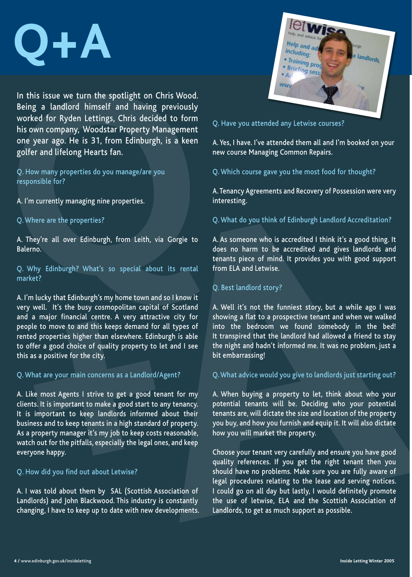

In this issue we turn the spotlight on Chris Wood. Being a landlord himself and having previously worked for Ryden Lettings, Chris decided to form his own company, Woodstar Property Management one year ago. He is 31, from Edinburgh, is a keen golfer and lifelong Hearts fan.

Q. How many properties do you manage/are you responsible for?

A. I'm currently managing nine properties.

Q. Where are the properties?

A. They're all over Edinburgh, from Leith, via Gorgie to Balerno.

Q. Why Edinburgh? What's so special about its rental market?

A. I'm lucky that Edinburgh's my home town and so I know it very well. It's the busy cosmopolitan capital of Scotland and a major financial centre. A very attractive city for people to move to and this keeps demand for all types of rented properties higher than elsewhere. Edinburgh is able to offer a good choice of quality property to let and I see this as a positive for the city.

### Q. What are your main concerns as a Landlord/Agent?

A. Like most Agents I strive to get a good tenant for my clients. It is important to make a good start to any tenancy. It is important to keep landlords informed about their business and to keep tenants in a high standard of property. As a property manager it's my job to keep costs reasonable, watch out for the pitfalls, especially the legal ones, and keep everyone happy.

Q. How did you find out about Letwise?

A. I was told about them by SAL (Scottish Association of Landlords) and John Blackwood. This industry is constantly changing, I have to keep up to date with new developments.



Q. Have you attended any Letwise courses?

A. Yes, I have. I've attended them all and I'm booked on your new course Managing Common Repairs.

Q. Which course gave you the most food for thought?

A. Tenancy Agreements and Recovery of Possession were very interesting.

Q. What do you think of Edinburgh Landlord Accreditation?

A. As someone who is accredited I think it's a good thing. It does no harm to be accredited and gives landlords and tenants piece of mind. It provides you with good support from ELA and Letwise.

# Q. Best landlord story?

A. Well it's not the funniest story, but a while ago I was showing a flat to a prospective tenant and when we walked into the bedroom we found somebody in the bed! It transpired that the landlord had allowed a friend to stay the night and hadn't informed me. It was no problem, just a bit embarrassing!

# Q. What advice would you give to landlords just starting out?

A. When buying a property to let, think about who your potential tenants will be. Deciding who your potential tenants are, will dictate the size and location of the property you buy, and how you furnish and equip it. It will also dictate how you will market the property.

Choose your tenant very carefully and ensure you have good quality references. If you get the right tenant then you should have no problems. Make sure you are fully aware of legal procedures relating to the lease and serving notices. I could go on all day but lastly, I would definitely promote the use of letwise, ELA and the Scottish Association of Landlords, to get as much support as possible.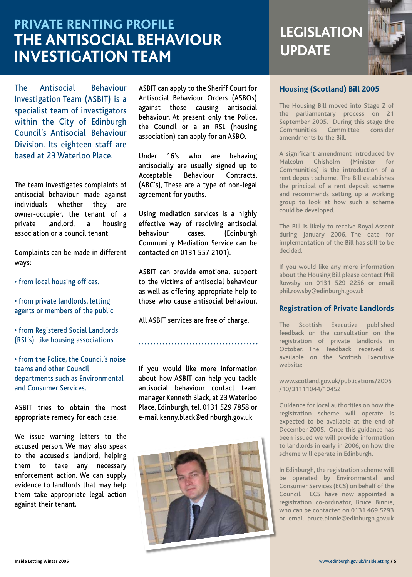# **PRIVATE RENTING PROFILE THE ANTISOCIAL BEHAVIOUR INVESTIGATION TEAM**

The Antisocial Behaviour Investigation Team (ASBIT) is a specialist team of investigators within the City of Edinburgh Council's Antisocial Behaviour Division. Its eighteen staff are based at 23 Waterloo Place.

The team investigates complaints of antisocial behaviour made against individuals whether they are owner-occupier, the tenant of a private landlord, a housing association or a council tenant.

Complaints can be made in different ways:

- from local housing offices.
- from private landlords, letting agents or members of the public
- from Registered Social Landlords (RSL's) like housing associations
- from the Police, the Council's noise teams and other Council departments such as Environmental and Consumer Services.

ASBIT tries to obtain the most appropriate remedy for each case.

We issue warning letters to the accused person. We may also speak to the accused's landlord, helping them to take any necessary enforcement action. We can supply evidence to landlords that may help them take appropriate legal action against their tenant.

ASBIT can apply to the Sheriff Court for Antisocial Behaviour Orders (ASBOs) against those causing antisocial behaviour. At present only the Police, the Council or a an RSL (housing association) can apply for an ASBO.

Under 16's who are behaving antisocially are usually signed up to Acceptable Behaviour Contracts, (ABC's), These are a type of non-legal agreement for youths.

Using mediation services is a highly effective way of resolving antisocial behaviour cases. (Edinburgh Community Mediation Service can be contacted on 0131 557 2101).

ASBIT can provide emotional support to the victims of antisocial behaviour as well as offering appropriate help to those who cause antisocial behaviour.

All ASBIT services are free of charge.

**........................................**

If you would like more information about how ASBIT can help you tackle antisocial behaviour contact team manager Kenneth Black, at 23 Waterloo Place, Edinburgh, tel. 0131 529 7858 or e-mail kenny.black@edinburgh.gov.uk



# **LEGISLATION UPDATE**



# **Housing (Scotland) Bill 2005**

The Housing Bill moved into Stage 2 of the parliamentary process on 21 September 2005. During this stage the Communities Committee consider amendments to the Bill.

A significant amendment introduced by Malcolm Chisholm (Minister for Communities) is the introduction of a rent deposit scheme. The Bill establishes the principal of a rent deposit scheme and recommends setting up a working group to look at how such a scheme could be developed.

The Bill is likely to receive Royal Assent during January 2006. The date for implementation of the Bill has still to be decided.

If you would like any more information about the Housing Bill please contact Phil Rowsby on 0131 529 2256 or email phil.rowsby@edinburgh.gov.uk

# **Registration of Private Landlords**

The Scottish Executive published feedback on the consultation on the registration of private landlords in October. The feedback received is available on the Scottish Executive website:

www.scotland.gov.uk/publications/2005 /10/31111044/10452

Guidance for local authorities on how the registration scheme will operate is expected to be available at the end of December 2005. Once this guidance has been issued we will provide information to landlords in early in 2006, on how the scheme will operate in Edinburgh.

In Edinburgh, the registration scheme will be operated by Environmental and Consumer Services (ECS) on behalf of the Council. ECS have now appointed a registration co-ordinator, Bruce Binnie, who can be contacted on 0131 469 5293 or email bruce.binnie@edinburgh.gov.uk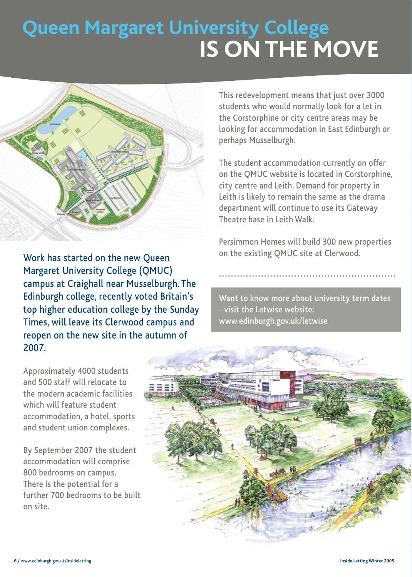# **Queen Margaret University College IS ON THE MOVE**



Work has started on the new Queen Margaret University College (QMUC) campus at Craighall near Musselburgh. The Edinburgh college, recently voted Britain's top higher education college by the Sunday Times, will leave its Clerwood campus and reopen on the new site in the autumn of 2007.

This redevelopment means that just over 3000 students who would normally look for a let in the Corstorphine or city centre areas may be looking for accommodation in East Edinburgh or perhaps Musselburgh.

**The student accommodation currently on offer** on the QMUC website is located in Corstorphine, city centre and Leith. Demand for property in Leith is likely to remain the same as the drama department will continue to use its Gateway Theatre base in Leith Walk.

> Persimmon Homes will build 300 new properties on the existing QMUC site at Clerwood.

**...........................................................**

Want to know more about university term dates - visit the Letwise website: www.edinburgh.gov.uk/letwise



Approximately 4000 students and 500 staff will relocate to the modern academic facilities which will feature student accommodation, a hotel, sports and student union complexes.

By September 2007 the student accommodation will comprise 800 bedrooms on campus. There is the potential for a further 700 bedrooms to be built on site.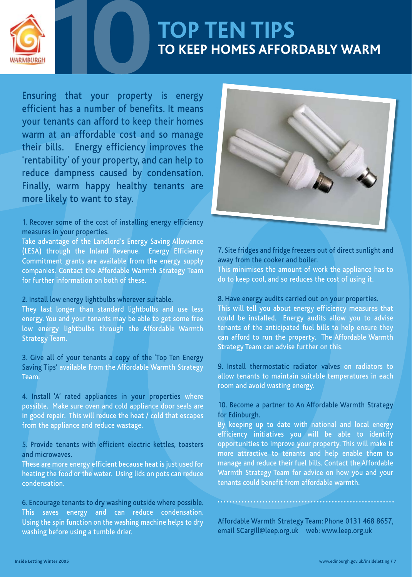

# **TOP TEN TIPS TO KEEP HOMES AFFORDABLY WARM**

Ensuring that your property is energy efficient has a number of benefits. It means your tenants can afford to keep their homes warm at an affordable cost and so manage their bills. Energy efficiency improves the 'rentability' of your property, and can help to reduce dampness caused by condensation. Finally, warm happy healthy tenants are more likely to want to stay.

# 1. Recover some of the cost of installing energy efficiency measures in your properties.

Take advantage of the Landlord's Energy Saving Allowance (LESA) through the Inland Revenue. Energy Efficiency Commitment grants are available from the energy supply companies. Contact the Affordable Warmth Strategy Team for further information on both of these.

# 2. Install low energy lightbulbs wherever suitable.

They last longer than standard lightbulbs and use less energy. You and your tenants may be able to get some free low energy lightbulbs through the Affordable Warmth Strategy Team.

3. Give all of your tenants a copy of the 'Top Ten Energy Saving Tips' available from the Affordable Warmth Strategy Team.

4. Install 'A' rated appliances in your properties where possible. Make sure oven and cold appliance door seals are in good repair. This will reduce the heat / cold that escapes from the appliance and reduce wastage.

5. Provide tenants with efficient electric kettles, toasters and microwaves.

These are more energy efficient because heat is just used for heating the food or the water. Using lids on pots can reduce condensation.

6. Encourage tenants to dry washing outside where possible. This saves energy and can reduce condensation. Using the spin function on the washing machine helps to dry washing before using a tumble drier.



7. Site fridges and fridge freezers out of direct sunlight and away from the cooker and boiler.

This minimises the amount of work the appliance has to do to keep cool, and so reduces the cost of using it.

### 8. Have energy audits carried out on your properties.

This will tell you about energy efficiency measures that could be installed. Energy audits allow you to advise tenants of the anticipated fuel bills to help ensure they can afford to run the property. The Affordable Warmth Strategy Team can advise further on this.

9. Install thermostatic radiator valves on radiators to allow tenants to maintain suitable temperatures in each room and avoid wasting energy.

# 10. Become a partner to An Affordable Warmth Strategy for Edinburgh.

By keeping up to date with national and local energy efficiency initiatives you will be able to identify opportunities to improve your property. This will make it more attractive to tenants and help enable them to manage and reduce their fuel bills. Contact the Affordable Warmth Strategy Team for advice on how you and your tenants could benefit from affordable warmth.

Affordable Warmth Strategy Team: Phone 0131 468 8657, email SCargill@leep.org.uk web: www.leep.org.uk